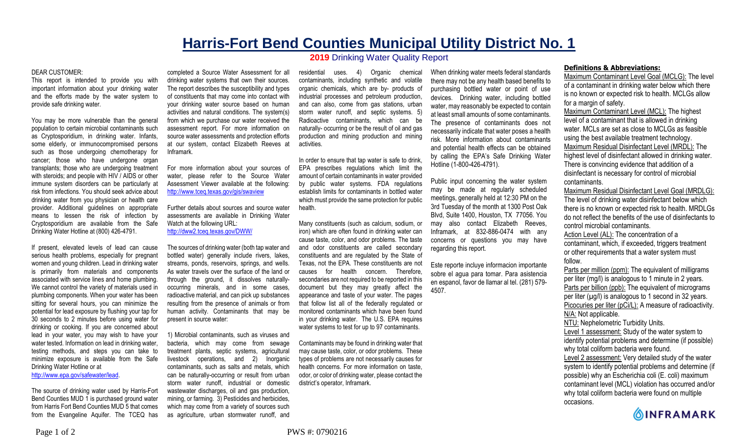## **Harris-Fort Bend Counties Municipal Utility District No. 1**

## DEAR CUSTOMER:

This report is intended to provide you with important information about your drinking water and the efforts made by the water system to provide safe drinking water.

You may be more vulnerable than the general population to certain microbial contaminants such as Cryptosporidium, in drinking water. Infants, some elderly, or immunocompromised persons such as those undergoing chemotherapy for cancer; those who have undergone organ transplants; those who are undergoing treatment with steroids; and people with HIV / AIDS or other immune system disorders can be particularly at risk from infections. You should seek advice about drinking water from you physician or health care provider. Additional guidelines on appropriate means to lessen the risk of infection by Cryptosporidium are available from the Safe Drinking Water Hotline at (800) 426-4791.

If present, elevated levels of lead can cause serious health problems, especially for pregnant women and young children. Lead in drinking water is primarily from materials and components associated with service lines and home plumbing. We cannot control the variety of materials used in plumbing components. When your water has been sitting for several hours, you can minimize the potential for lead exposure by flushing your tap for 30 seconds to 2 minutes before using water for drinking or cooking. If you are concerned about lead in your water, you may wish to have your water tested. Information on lead in drinking water, testing methods, and steps you can take to minimize exposure is available from the Safe Drinking Water Hotline or at http://www.epa.gov/safewater/lead.

The source of drinking water used by Harris-Fort Bend Counties MUD 1 is purchased ground water from Harris Fort Bend Counties MUD 5 that comes from the Evangeline Aquifer. The TCEQ has

completed a Source Water Assessment for all drinking water systems that own their sources. The report describes the susceptibility and types of constituents that may come into contact with your drinking water source based on human activities and natural conditions. The system(s) from which we purchase our water received the assessment report. For more information on source water assessments and protection efforts at our system, contact Elizabeth Reeves at Inframark.

For more information about your sources of water, please refer to the Source Water Assessment Viewer available at the following: http://www.tceq.texas.gov/gis/swaview

Further details about sources and source water assessments are available in Drinking Water Watch at the following URL: http://dww2.tceq.texas.gov/DWW/

The sources of drinking water (both tap water and bottled water) generally include rivers, lakes, streams, ponds, reservoirs, springs, and wells. As water travels over the surface of the land or through the ground, it dissolves naturallyoccurring minerals, and in some cases, radioactive material, and can pick up substances resulting from the presence of animals or from human activity. Contaminants that may be present in source water:

1) Microbial contaminants, such as viruses and bacteria, which may come from sewage treatment plants, septic systems, agricultural livestock operations, and 2) Inorganic contaminants, such as salts and metals, which can be naturally-occurring or result from urban storm water runoff, industrial or domestic wastewater discharges, oil and gas production, mining, or farming. 3) Pesticides and herbicides, which may come from a variety of sources such as agriculture, urban stormwater runoff, and

**2019** Drinking Water Quality Report

residential uses. 4) Organic chemical contaminants, including synthetic and volatile organic chemicals, which are by- products of industrial processes and petroleum production, and can also, come from gas stations, urban storm water runoff, and septic systems. 5) Radioactive contaminants, which can be naturally- occurring or be the result of oil and gas production and mining production and mining activities.

In order to ensure that tap water is safe to drink, EPA prescribes regulations which limit the amount of certain contaminants in water provided by public water systems. FDA regulations establish limits for contaminants in bottled water which must provide the same protection for public health.

Many constituents (such as calcium, sodium, or iron) which are often found in drinking water can cause taste, color, and odor problems. The taste and odor constituents are called secondary constituents and are regulated by the State of Texas, not the EPA. These constituents are not causes for health concern. Therefore, secondaries are not required to be reported in this document but they may greatly affect the appearance and taste of your water. The pages that follow list all of the federally regulated or monitored contaminants which have been found in your drinking water. The U.S. EPA requires water systems to test for up to 97 contaminants.

Contaminants may be found in drinking water that may cause taste, color, or odor problems. These types of problems are not necessarily causes for health concerns. For more information on taste, odor, or color of drinking water, please contact the district's operator, Inframark.

When drinking water meets federal standards there may not be any health based benefits to purchasing bottled water or point of use devices. Drinking water, including bottled water, may reasonably be expected to contain at least small amounts of some contaminants. The presence of contaminants does not necessarily indicate that water poses a health risk. More information about contaminants and potential health effects can be obtained by calling the EPA's Safe Drinking Water Hotline (1-800-426-4791).

Public input concerning the water system may be made at regularly scheduled meetings, generally held at 12:30 PM on the 3rd Tuesday of the month at 1300 Post Oak Blvd, Suite 1400, Houston, TX 77056. You may also contact Elizabeth Reeves, Inframark, at 832-886-0474 with any concerns or questions you may have regarding this report.

Este reporte incluye informacion importante sobre el agua para tomar. Para asistencia en espanol, favor de llamar al tel. (281) 579- 4507.

## **Definitions & Abbreviations:**

Maximum Contaminant Level Goal (MCLG): The level of a contaminant in drinking water below which there is no known or expected risk to health. MCLGs allow for a margin of safety.

Maximum Contaminant Level (MCL): The highest level of a contaminant that is allowed in drinking water. MCLs are set as close to MCLGs as feasible using the best available treatment technology. Maximum Residual Disinfectant Level (MRDL): The highest level of disinfectant allowed in drinking water. There is convincing evidence that addition of a disinfectant is necessary for control of microbial contaminants.

Maximum Residual Disinfectant Level Goal (MRDLG): The level of drinking water disinfectant below which there is no known or expected risk to health. MRDLGs do not reflect the benefits of the use of disinfectants to control microbial contaminants.

Action Level (AL): The concentration of a contaminant, which, if exceeded, triggers treatment or other requirements that a water system must follow.

Parts per million (ppm): The equivalent of milligrams per liter (mg/l) is analogous to 1 minute in 2 years. Parts per billion (ppb): The equivalent of micrograms per liter  $(\mu g/l)$  is analogous to 1 second in 32 years. Picocuries per liter (pCi/L): A measure of radioactivity. N/A: Not applicable. NTU: Nephelometric Turbidity Units.

Level 1 assessment: Study of the water system to identify potential problems and determine (if possible) why total coliform bacteria were found.

Level 2 assessment: Very detailed study of the water system to identify potential problems and determine (if possible) why an Escherichia coli (E. coli) maximum contaminant level (MCL) violation has occurred and/or why total coliform bacteria were found on multiple occasions.